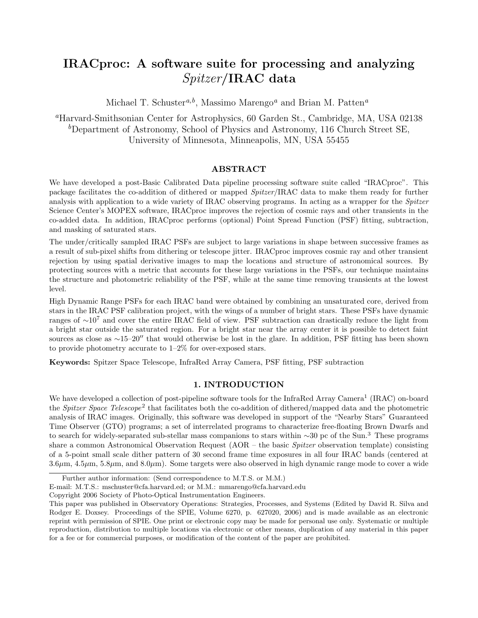# IRACproc: A software suite for processing and analyzing Spitzer/IRAC data

Michael T. Schuster<sup>a,b</sup>, Massimo Marengo<sup>a</sup> and Brian M. Patten<sup>a</sup>

<sup>a</sup>Harvard-Smithsonian Center for Astrophysics, 60 Garden St., Cambridge, MA, USA 02138  $b$ Department of Astronomy, School of Physics and Astronomy, 116 Church Street SE, University of Minnesota, Minneapolis, MN, USA 55455

## ABSTRACT

We have developed a post-Basic Calibrated Data pipeline processing software suite called "IRACproc". This package facilitates the co-addition of dithered or mapped Spitzer/IRAC data to make them ready for further analysis with application to a wide variety of IRAC observing programs. In acting as a wrapper for the Spitzer Science Center's MOPEX software, IRACproc improves the rejection of cosmic rays and other transients in the co-added data. In addition, IRACproc performs (optional) Point Spread Function (PSF) fitting, subtraction, and masking of saturated stars.

The under/critically sampled IRAC PSFs are subject to large variations in shape between successive frames as a result of sub-pixel shifts from dithering or telescope jitter. IRACproc improves cosmic ray and other transient rejection by using spatial derivative images to map the locations and structure of astronomical sources. By protecting sources with a metric that accounts for these large variations in the PSFs, our technique maintains the structure and photometric reliability of the PSF, while at the same time removing transients at the lowest level.

High Dynamic Range PSFs for each IRAC band were obtained by combining an unsaturated core, derived from stars in the IRAC PSF calibration project, with the wings of a number of bright stars. These PSFs have dynamic ranges of <sup>∼</sup>10<sup>7</sup> and cover the entire IRAC field of view. PSF subtraction can drastically reduce the light from a bright star outside the saturated region. For a bright star near the array center it is possible to detect faint sources as close as  $\sim$ 15–20" that would otherwise be lost in the glare. In addition, PSF fitting has been shown to provide photometry accurate to 1–2% for over-exposed stars.

Keywords: Spitzer Space Telescope, InfraRed Array Camera, PSF fitting, PSF subtraction

# 1. INTRODUCTION

We have developed a collection of post-pipeline software tools for the InfraRed Array Camera<sup>1</sup> (IRAC) on-board the Spitzer Space Telescope<sup>2</sup> that facilitates both the co-addition of dithered/mapped data and the photometric analysis of IRAC images. Originally, this software was developed in support of the "Nearby Stars" Guaranteed Time Observer (GTO) programs; a set of interrelated programs to characterize free-floating Brown Dwarfs and to search for widely-separated sub-stellar mass companions to stars within  $\sim$ 30 pc of the Sun.<sup>3</sup> These programs share a common Astronomical Observation Request  $(AOR - the basic Spitzer$  observation template) consisting of a 5-point small scale dither pattern of 30 second frame time exposures in all four IRAC bands (centered at  $3.6\mu$ m,  $4.5\mu$ m,  $5.8\mu$ m, and  $8.0\mu$ m). Some targets were also observed in high dynamic range mode to cover a wide

Further author information: (Send correspondence to M.T.S. or M.M.)

E-mail: M.T.S.: mschuster@cfa.harvard.ed; or M.M.: mmarengo@cfa.harvard.edu

Copyright 2006 Society of Photo-Optical Instrumentation Engineers.

This paper was published in Observatory Operations: Strategies, Processes, and Systems (Edited by David R. Silva and Rodger E. Doxsey. Proceedings of the SPIE, Volume 6270, p. 627020, 2006) and is made available as an electronic reprint with permission of SPIE. One print or electronic copy may be made for personal use only. Systematic or multiple reproduction, distribution to multiple locations via electronic or other means, duplication of any material in this paper for a fee or for commercial purposes, or modification of the content of the paper are prohibited.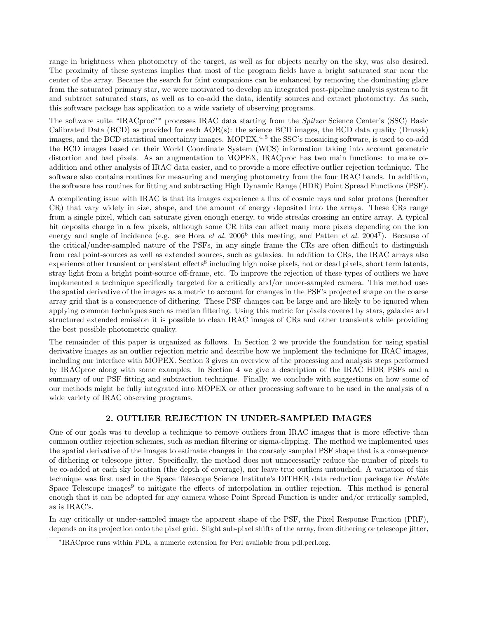range in brightness when photometry of the target, as well as for objects nearby on the sky, was also desired. The proximity of these systems implies that most of the program fields have a bright saturated star near the center of the array. Because the search for faint companions can be enhanced by removing the dominating glare from the saturated primary star, we were motivated to develop an integrated post-pipeline analysis system to fit and subtract saturated stars, as well as to co-add the data, identify sources and extract photometry. As such, this software package has application to a wide variety of observing programs.

The software suite "IRACproc"<sup>∗</sup> processes IRAC data starting from the Spitzer Science Center's (SSC) Basic Calibrated Data (BCD) as provided for each AOR(s): the science BCD images, the BCD data quality (Dmask) images, and the BCD statistical uncertainty images. MOPEX, $4.5$  the SSC's mosaicing software, is used to co-add the BCD images based on their World Coordinate System (WCS) information taking into account geometric distortion and bad pixels. As an augmentation to MOPEX, IRACproc has two main functions: to make coaddition and other analysis of IRAC data easier, and to provide a more effective outlier rejection technique. The software also contains routines for measuring and merging photometry from the four IRAC bands. In addition, the software has routines for fitting and subtracting High Dynamic Range (HDR) Point Spread Functions (PSF).

A complicating issue with IRAC is that its images experience a flux of cosmic rays and solar protons (hereafter CR) that vary widely in size, shape, and the amount of energy deposited into the arrays. These CRs range from a single pixel, which can saturate given enough energy, to wide streaks crossing an entire array. A typical hit deposits charge in a few pixels, although some CR hits can affect many more pixels depending on the ion energy and angle of incidence (e.g. see Hora *et al.* 2006<sup>6</sup> this meeting, and Patten *et al.* 2004<sup>7</sup>). Because of the critical/under-sampled nature of the PSFs, in any single frame the CRs are often difficult to distinguish from real point-sources as well as extended sources, such as galaxies. In addition to CRs, the IRAC arrays also experience other transient or persistent effects<sup>8</sup> including high noise pixels, hot or dead pixels, short term latents, stray light from a bright point-source off-frame, etc. To improve the rejection of these types of outliers we have implemented a technique specifically targeted for a critically and/or under-sampled camera. This method uses the spatial derivative of the images as a metric to account for changes in the PSF's projected shape on the coarse array grid that is a consequence of dithering. These PSF changes can be large and are likely to be ignored when applying common techniques such as median filtering. Using this metric for pixels covered by stars, galaxies and structured extended emission it is possible to clean IRAC images of CRs and other transients while providing the best possible photometric quality.

The remainder of this paper is organized as follows. In Section 2 we provide the foundation for using spatial derivative images as an outlier rejection metric and describe how we implement the technique for IRAC images, including our interface with MOPEX. Section 3 gives an overview of the processing and analysis steps performed by IRACproc along with some examples. In Section 4 we give a description of the IRAC HDR PSFs and a summary of our PSF fitting and subtraction technique. Finally, we conclude with suggestions on how some of our methods might be fully integrated into MOPEX or other processing software to be used in the analysis of a wide variety of IRAC observing programs.

# 2. OUTLIER REJECTION IN UNDER-SAMPLED IMAGES

One of our goals was to develop a technique to remove outliers from IRAC images that is more effective than common outlier rejection schemes, such as median filtering or sigma-clipping. The method we implemented uses the spatial derivative of the images to estimate changes in the coarsely sampled PSF shape that is a consequence of dithering or telescope jitter. Specifically, the method does not unnecessarily reduce the number of pixels to be co-added at each sky location (the depth of coverage), nor leave true outliers untouched. A variation of this technique was first used in the Space Telescope Science Institute's DITHER data reduction package for Hubble Space Telescope images<sup>9</sup> to mitigate the effects of interpolation in outlier rejection. This method is general enough that it can be adopted for any camera whose Point Spread Function is under and/or critically sampled, as is IRAC's.

In any critically or under-sampled image the apparent shape of the PSF, the Pixel Response Function (PRF), depends on its projection onto the pixel grid. Slight sub-pixel shifts of the array, from dithering or telescope jitter,

<sup>∗</sup> IRACproc runs within PDL, a numeric extension for Perl available from pdl.perl.org.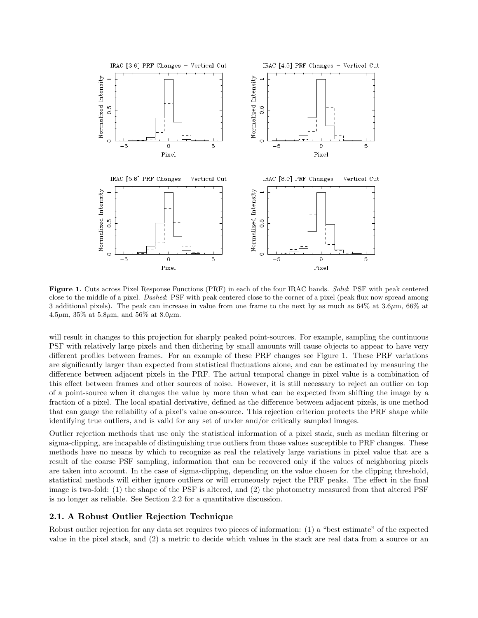

Figure 1. Cuts across Pixel Response Functions (PRF) in each of the four IRAC bands. Solid: PSF with peak centered close to the middle of a pixel. Dashed: PSF with peak centered close to the corner of a pixel (peak flux now spread among 3 additional pixels). The peak can increase in value from one frame to the next by as much as  $64\%$  at  $3.6\mu$ m,  $66\%$  at 4.5 $\mu$ m, 35% at 5.8 $\mu$ m, and 56% at 8.0 $\mu$ m.

will result in changes to this projection for sharply peaked point-sources. For example, sampling the continuous PSF with relatively large pixels and then dithering by small amounts will cause objects to appear to have very different profiles between frames. For an example of these PRF changes see Figure 1. These PRF variations are significantly larger than expected from statistical fluctuations alone, and can be estimated by measuring the difference between adjacent pixels in the PRF. The actual temporal change in pixel value is a combination of this effect between frames and other sources of noise. However, it is still necessary to reject an outlier on top of a point-source when it changes the value by more than what can be expected from shifting the image by a fraction of a pixel. The local spatial derivative, defined as the difference between adjacent pixels, is one method that can gauge the reliability of a pixel's value on-source. This rejection criterion protects the PRF shape while identifying true outliers, and is valid for any set of under and/or critically sampled images.

Outlier rejection methods that use only the statistical information of a pixel stack, such as median filtering or sigma-clipping, are incapable of distinguishing true outliers from those values susceptible to PRF changes. These methods have no means by which to recognize as real the relatively large variations in pixel value that are a result of the coarse PSF sampling, information that can be recovered only if the values of neighboring pixels are taken into account. In the case of sigma-clipping, depending on the value chosen for the clipping threshold, statistical methods will either ignore outliers or will erroneously reject the PRF peaks. The effect in the final image is two-fold: (1) the shape of the PSF is altered, and (2) the photometry measured from that altered PSF is no longer as reliable. See Section 2.2 for a quantitative discussion.

## 2.1. A Robust Outlier Rejection Technique

Robust outlier rejection for any data set requires two pieces of information: (1) a "best estimate" of the expected value in the pixel stack, and (2) a metric to decide which values in the stack are real data from a source or an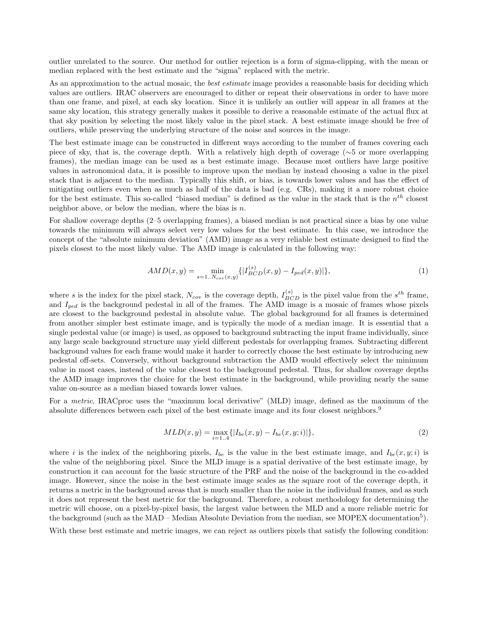outlier unrelated to the source. Our method for outlier rejection is a form of sigma-clipping, with the mean or median replaced with the best estimate and the "sigma" replaced with the metric.

As an approximation to the actual mosaic, the *best estimate* image provides a reasonable basis for deciding which values are outliers. IRAC observers are encouraged to dither or repeat their observations in order to have more than one frame, and pixel, at each sky location. Since it is unlikely an outlier will appear in all frames at the same sky location, this strategy generally makes it possible to derive a reasonable estimate of the actual flux at that sky position by selecting the most likely value in the pixel stack. A best estimate image should be free of outliers, while preserving the underlying structure of the noise and sources in the image.

The best estimate image can be constructed in different ways according to the number of frames covering each piece of sky, that is, the coverage depth. With a relatively high depth of coverage (∼5 or more overlapping frames), the median image can be used as a best estimate image. Because most outliers have large positive values in astronomical data, it is possible to improve upon the median by instead choosing a value in the pixel stack that is adjacent to the median. Typically this shift, or bias, is towards lower values and has the effect of mitigating outliers even when as much as half of the data is bad (e.g. CRs), making it a more robust choice for the best estimate. This so-called "biased median" is defined as the value in the stack that is the  $n^{th}$  closest neighbor above, or below the median, where the bias is  $n$ .

For shallow coverage depths (2–5 overlapping frames), a biased median is not practical since a bias by one value towards the minimum will always select very low values for the best estimate. In this case, we introduce the concept of the "absolute minimum deviation" (AMD) image as a very reliable best estimate designed to find the pixels closest to the most likely value. The AMD image is calculated in the following way:

$$
AMD(x, y) = \min_{s=1..N_{cov}(x, y)} \{ |I_{BCD}^{(s)}(x, y) - I_{ped}(x, y)| \},
$$
\n(1)

where s is the index for the pixel stack,  $N_{cov}$  is the coverage depth,  $I_{BCD}^{(s)}$  is the pixel value from the s<sup>th</sup> frame, and  $I_{ped}$  is the background pedestal in all of the frames. The AMD image is a mosaic of frames whose pixels are closest to the background pedestal in absolute value. The global background for all frames is determined from another simpler best estimate image, and is typically the mode of a median image. It is essential that a single pedestal value (or image) is used, as opposed to background subtracting the input frame individually, since any large scale background structure may yield different pedestals for overlapping frames. Subtracting different background values for each frame would make it harder to correctly choose the best estimate by introducing new pedestal off-sets. Conversely, without background subtraction the AMD would effectively select the minimum value in most cases, instead of the value closest to the background pedestal. Thus, for shallow coverage depths the AMD image improves the choice for the best estimate in the background, while providing nearly the same value on-source as a median biased towards lower values.

For a *metric*, IRAC procuses the "maximum local derivative" (MLD) image, defined as the maximum of the absolute differences between each pixel of the best estimate image and its four closest neighbors.<sup>9</sup>

$$
MLD(x, y) = \max_{i=1..4} \{ |I_{be}(x, y) - I_{be}(x, y; i)| \},\tag{2}
$$

where i is the index of the neighboring pixels,  $I_{be}$  is the value in the best estimate image, and  $I_{be}(x, y; i)$  is the value of the neighboring pixel. Since the MLD image is a spatial derivative of the best estimate image, by construction it can account for the basic structure of the PRF and the noise of the background in the co-added image. However, since the noise in the best estimate image scales as the square root of the coverage depth, it returns a metric in the background areas that is much smaller than the noise in the individual frames, and as such it does not represent the best metric for the background. Therefore, a robust methodology for determining the metric will choose, on a pixel-by-pixel basis, the largest value between the MLD and a more reliable metric for the background (such as the MAD – Median Absolute Deviation from the median, see MOPEX documentation<sup>5</sup>).

With these best estimate and metric images, we can reject as outliers pixels that satisfy the following condition: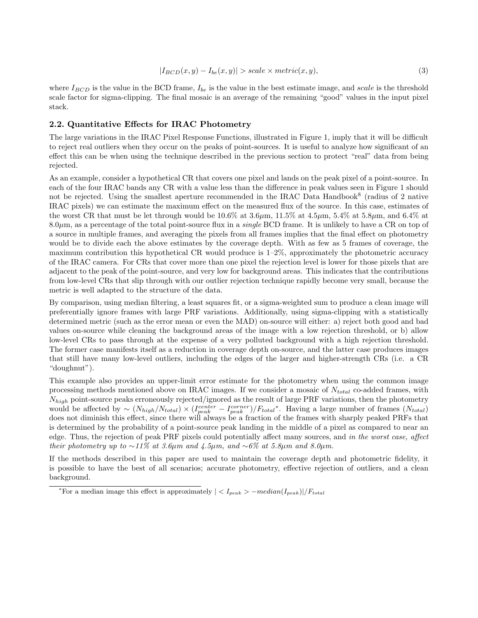$$
|I_{BCD}(x,y) - I_{be}(x,y)| > scale \times metric(x,y),
$$
\n(3)

where  $I_{BCD}$  is the value in the BCD frame,  $I_{be}$  is the value in the best estimate image, and scale is the threshold scale factor for sigma-clipping. The final mosaic is an average of the remaining "good" values in the input pixel stack.

# 2.2. Quantitative Effects for IRAC Photometry

The large variations in the IRAC Pixel Response Functions, illustrated in Figure 1, imply that it will be difficult to reject real outliers when they occur on the peaks of point-sources. It is useful to analyze how significant of an effect this can be when using the technique described in the previous section to protect "real" data from being rejected.

As an example, consider a hypothetical CR that covers one pixel and lands on the peak pixel of a point-source. In each of the four IRAC bands any CR with a value less than the difference in peak values seen in Figure 1 should not be rejected. Using the smallest aperture recommended in the IRAC Data Handbook<sup>8</sup> (radius of 2 native IRAC pixels) we can estimate the maximum effect on the measured flux of the source. In this case, estimates of the worst CR that must be let through would be  $10.6\%$  at  $3.6\mu$ m,  $11.5\%$  at  $4.5\mu$ m,  $5.4\%$  at  $5.8\mu$ m, and  $6.4\%$  at 8.0 $\mu$ m, as a percentage of the total point-source flux in a *single* BCD frame. It is unlikely to have a CR on top of a source in multiple frames, and averaging the pixels from all frames implies that the final effect on photometry would be to divide each the above estimates by the coverage depth. With as few as 5 frames of coverage, the maximum contribution this hypothetical CR would produce is  $1-2\%$ , approximately the photometric accuracy of the IRAC camera. For CRs that cover more than one pixel the rejection level is lower for those pixels that are adjacent to the peak of the point-source, and very low for background areas. This indicates that the contributions from low-level CRs that slip through with our outlier rejection technique rapidly become very small, because the metric is well adapted to the structure of the data.

By comparison, using median filtering, a least squares fit, or a sigma-weighted sum to produce a clean image will preferentially ignore frames with large PRF variations. Additionally, using sigma-clipping with a statistically determined metric (such as the error mean or even the MAD) on-source will either: a) reject both good and bad values on-source while cleaning the background areas of the image with a low rejection threshold, or b) allow low-level CRs to pass through at the expense of a very polluted background with a high rejection threshold. The former case manifests itself as a reduction in coverage depth on-source, and the latter case produces images that still have many low-level outliers, including the edges of the larger and higher-strength CRs (i.e. a CR "doughnut").

This example also provides an upper-limit error estimate for the photometry when using the common image processing methods mentioned above on IRAC images. If we consider a mosaic of  $N_{total}$  co-added frames, with  $N_{high}$  point-source peaks erroneously rejected/ignored as the result of large PRF variations, then the photometry would be affected by  $\sim (N_{high}/N_{total}) \times (I_{peak}^{center} - I_{peak}^{corner})/F_{total}^*$ . Having a large number of frames  $(N_{total})$ does not diminish this effect, since there will always be a fraction of the frames with sharply peaked PRFs that is determined by the probability of a point-source peak landing in the middle of a pixel as compared to near an edge. Thus, the rejection of peak PRF pixels could potentially affect many sources, and in the worst case, affect their photometry up to ∼11% at 3.6µm and 4.5µm, and ∼6% at 5.8µm and 8.0µm.

If the methods described in this paper are used to maintain the coverage depth and photometric fidelity, it is possible to have the best of all scenarios; accurate photometry, effective rejection of outliers, and a clean background.

<sup>\*</sup>For a median image this effect is approximately  $| < I_{peak} > -median(I_{peak})/F_{total}$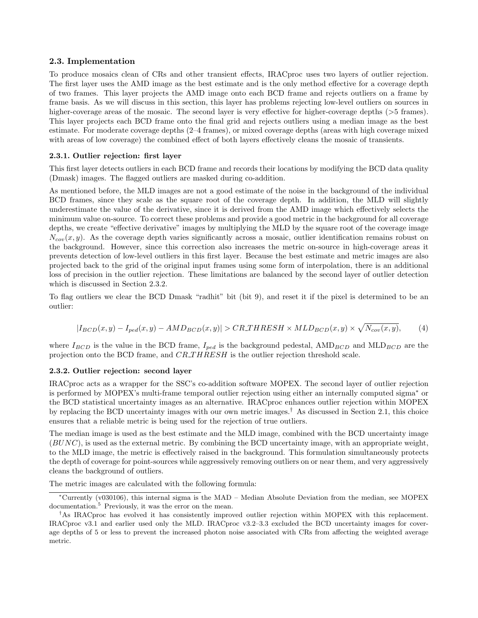#### 2.3. Implementation

To produce mosaics clean of CRs and other transient effects, IRACproc uses two layers of outlier rejection. The first layer uses the AMD image as the best estimate and is the only method effective for a coverage depth of two frames. This layer projects the AMD image onto each BCD frame and rejects outliers on a frame by frame basis. As we will discuss in this section, this layer has problems rejecting low-level outliers on sources in higher-coverage areas of the mosaic. The second layer is very effective for higher-coverage depths ( $>5$  frames). This layer projects each BCD frame onto the final grid and rejects outliers using a median image as the best estimate. For moderate coverage depths (2–4 frames), or mixed coverage depths (areas with high coverage mixed with areas of low coverage) the combined effect of both layers effectively cleans the mosaic of transients.

#### 2.3.1. Outlier rejection: first layer

This first layer detects outliers in each BCD frame and records their locations by modifying the BCD data quality (Dmask) images. The flagged outliers are masked during co-addition.

As mentioned before, the MLD images are not a good estimate of the noise in the background of the individual BCD frames, since they scale as the square root of the coverage depth. In addition, the MLD will slightly underestimate the value of the derivative, since it is derived from the AMD image which effectively selects the minimum value on-source. To correct these problems and provide a good metric in the background for all coverage depths, we create "effective derivative" images by multiplying the MLD by the square root of the coverage image  $N_{cov}(x, y)$ . As the coverage depth varies significantly across a mosaic, outlier identification remains robust on the background. However, since this correction also increases the metric on-source in high-coverage areas it prevents detection of low-level outliers in this first layer. Because the best estimate and metric images are also projected back to the grid of the original input frames using some form of interpolation, there is an additional loss of precision in the outlier rejection. These limitations are balanced by the second layer of outlier detection which is discussed in Section 2.3.2.

To flag outliers we clear the BCD Dmask "radhit" bit (bit 9), and reset it if the pixel is determined to be an outlier:

$$
|I_{BCD}(x,y) - I_{ped}(x,y) - AMD_{BCD}(x,y)| > CR\_THRESH \times MLD_{BCD}(x,y) \times \sqrt{N_{cov}(x,y)},
$$
 (4)

where  $I_{BCD}$  is the value in the BCD frame,  $I_{ped}$  is the background pedestal,  $\text{AMD}_{BCD}$  and  $\text{MLD}_{BCD}$  are the projection onto the BCD frame, and CR THRESH is the outlier rejection threshold scale.

#### 2.3.2. Outlier rejection: second layer

IRACproc acts as a wrapper for the SSC's co-addition software MOPEX. The second layer of outlier rejection is performed by MOPEX's multi-frame temporal outlier rejection using either an internally computed sigma<sup>∗</sup> or the BCD statistical uncertainty images as an alternative. IRACproc enhances outlier rejection within MOPEX by replacing the BCD uncertainty images with our own metric images.† As discussed in Section 2.1, this choice ensures that a reliable metric is being used for the rejection of true outliers.

The median image is used as the best estimate and the MLD image, combined with the BCD uncertainty image  $(BUNC)$ , is used as the external metric. By combining the BCD uncertainty image, with an appropriate weight, to the MLD image, the metric is effectively raised in the background. This formulation simultaneously protects the depth of coverage for point-sources while aggressively removing outliers on or near them, and very aggressively cleans the background of outliers.

The metric images are calculated with the following formula:

<sup>∗</sup>Currently (v030106), this internal sigma is the MAD – Median Absolute Deviation from the median, see MOPEX documentation.<sup>5</sup> Previously, it was the error on the mean.

<sup>†</sup>As IRACproc has evolved it has consistently improved outlier rejection within MOPEX with this replacement. IRACproc v3.1 and earlier used only the MLD. IRACproc v3.2–3.3 excluded the BCD uncertainty images for coverage depths of 5 or less to prevent the increased photon noise associated with CRs from affecting the weighted average metric.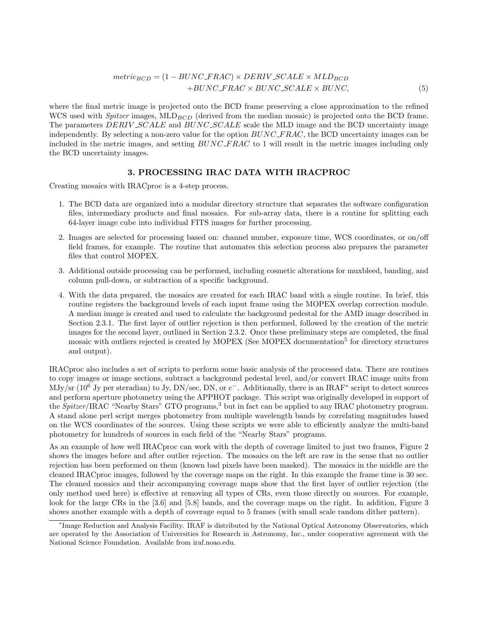$$
metric_{BCD} = (1 - BUNC\_FRAC) \times DERIV\_SCALE \times MLD_{BCD}
$$

$$
+ BUNC\_FRAC \times BUNC\_SCALE \times BUNC, \tag{5}
$$

where the final metric image is projected onto the BCD frame preserving a close approximation to the refined WCS used with *Spitzer* images,  $MLD_{BCD}$  (derived from the median mosaic) is projected onto the BCD frame. The parameters DERIV SCALE and BUNC SCALE scale the MLD image and the BCD uncertainty image independently. By selecting a non-zero value for the option  $BUNC\_FRAC$ , the BCD uncertainty images can be included in the metric images, and setting  $BUNC\_FRAC$  to 1 will result in the metric images including only the BCD uncertainty images.

# 3. PROCESSING IRAC DATA WITH IRACPROC

Creating mosaics with IRACproc is a 4-step process.

- 1. The BCD data are organized into a modular directory structure that separates the software configuration files, intermediary products and final mosaics. For sub-array data, there is a routine for splitting each 64-layer image cube into individual FITS images for further processing.
- 2. Images are selected for processing based on: channel number, exposure time, WCS coordinates, or on/off field frames, for example. The routine that automates this selection process also prepares the parameter files that control MOPEX.
- 3. Additional outside processing can be performed, including cosmetic alterations for muxbleed, banding, and column pull-down, or subtraction of a specific background.
- 4. With the data prepared, the mosaics are created for each IRAC band with a single routine. In brief, this routine registers the background levels of each input frame using the MOPEX overlap correction module. A median image is created and used to calculate the background pedestal for the AMD image described in Section 2.3.1. The first layer of outlier rejection is then performed, followed by the creation of the metric images for the second layer, outlined in Section 2.3.2. Once these preliminary steps are completed, the final mosaic with outliers rejected is created by MOPEX (See MOPEX documentation<sup>5</sup> for directory structures and output).

IRACproc also includes a set of scripts to perform some basic analysis of the processed data. There are routines to copy images or image sections, subtract a background pedestal level, and/or convert IRAC image units from MJy/sr ( $10^6$  Jy per steradian) to Jy, DN/sec, DN, or  $e^-$ . Additionally, there is an IRAF<sup>\*</sup> script to detect sources and perform aperture photometry using the APPHOT package. This script was originally developed in support of the Spitzer/IRAC "Nearby Stars" GTO programs,<sup>3</sup> but in fact can be applied to any IRAC photometry program. A stand alone perl script merges photometry from multiple wavelength bands by correlating magnitudes based on the WCS coordinates of the sources. Using these scripts we were able to efficiently analyze the multi-band photometry for hundreds of sources in each field of the "Nearby Stars" programs.

As an example of how well IRACproc can work with the depth of coverage limited to just two frames, Figure 2 shows the images before and after outlier rejection. The mosaics on the left are raw in the sense that no outlier rejection has been performed on them (known bad pixels have been masked). The mosaics in the middle are the cleaned IRACproc images, followed by the coverage maps on the right. In this example the frame time is 30 sec. The cleaned mosaics and their accompanying coverage maps show that the first layer of outlier rejection (the only method used here) is effective at removing all types of CRs, even those directly on sources. For example, look for the large CRs in the [3.6] and [5.8] bands, and the coverage maps on the right. In addition, Figure 3 shows another example with a depth of coverage equal to 5 frames (with small scale random dither pattern).

<sup>∗</sup> Image Reduction and Analysis Facility. IRAF is distributed by the National Optical Astronomy Observatories, which are operated by the Association of Universities for Research in Astronomy, Inc., under cooperative agreement with the National Science Foundation. Available from iraf.noao.edu.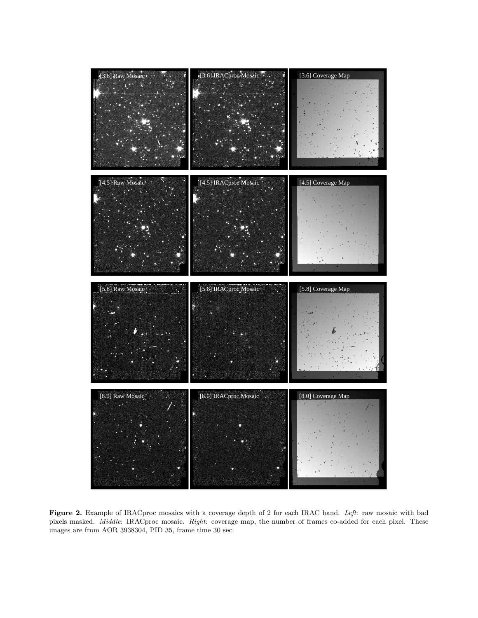

Figure 2. Example of IRACproc mosaics with a coverage depth of 2 for each IRAC band. Left: raw mosaic with bad pixels masked. Middle: IRACproc mosaic. Right: coverage map, the number of frames co-added for each pixel. These images are from AOR 3938304, PID 35, frame time 30 sec.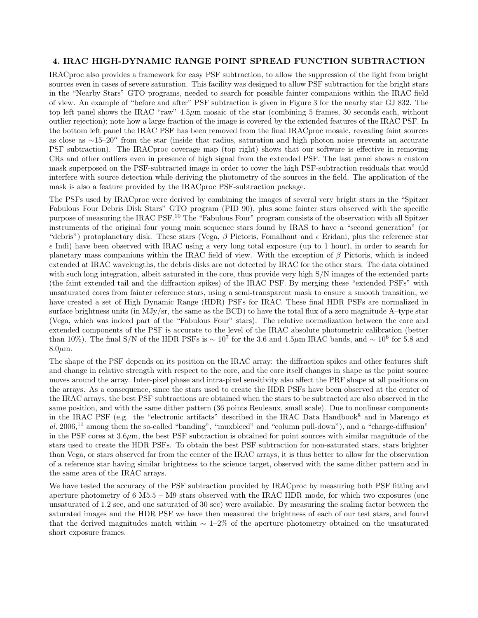## 4. IRAC HIGH-DYNAMIC RANGE POINT SPREAD FUNCTION SUBTRACTION

IRACproc also provides a framework for easy PSF subtraction, to allow the suppression of the light from bright sources even in cases of severe saturation. This facility was designed to allow PSF subtraction for the bright stars in the "Nearby Stars" GTO programs, needed to search for possible fainter companions within the IRAC field of view. An example of "before and after" PSF subtraction is given in Figure 3 for the nearby star GJ 832. The top left panel shows the IRAC "raw"  $4.5\mu$ m mosaic of the star (combining 5 frames, 30 seconds each, without outlier rejection); note how a large fraction of the image is covered by the extended features of the IRAC PSF. In the bottom left panel the IRAC PSF has been removed from the final IRACproc mosaic, revealing faint sources as close as ∼15–20" from the star (inside that radius, saturation and high photon noise prevents an accurate PSF subtraction). The IRACproc coverage map (top right) shows that our software is effective in removing CRs and other outliers even in presence of high signal from the extended PSF. The last panel shows a custom mask superposed on the PSF-subtracted image in order to cover the high PSF-subtraction residuals that would interfere with source detection while deriving the photometry of the sources in the field. The application of the mask is also a feature provided by the IRACproc PSF-subtraction package.

The PSFs used by IRACproc were derived by combining the images of several very bright stars in the "Spitzer Fabulous Four Debris Disk Stars" GTO program (PID 90), plus some fainter stars observed with the specific purpose of measuring the IRAC PSF.<sup>10</sup> The "Fabulous Four" program consists of the observation with all Spitzer instruments of the original four young main sequence stars found by IRAS to have a "second generation" (or "debris") protoplanetary disk. These stars (Vega, β Pictoris, Fomalhaut and  $\epsilon$  Eridani, plus the reference star  $\epsilon$  Indi) have been observed with IRAC using a very long total exposure (up to 1 hour), in order to search for planetary mass companions within the IRAC field of view. With the exception of  $\beta$  Pictoris, which is indeed extended at IRAC wavelengths, the debris disks are not detected by IRAC for the other stars. The data obtained with such long integration, albeit saturated in the core, thus provide very high S/N images of the extended parts (the faint extended tail and the diffraction spikes) of the IRAC PSF. By merging these "extended PSFs" with unsaturated cores from fainter reference stars, using a semi-transparent mask to ensure a smooth transition, we have created a set of High Dynamic Range (HDR) PSFs for IRAC. These final HDR PSFs are normalized in surface brightness units (in MJy/sr, the same as the BCD) to have the total flux of a zero magnitude A–type star (Vega, which was indeed part of the "Fabulous Four" stars). The relative normalization between the core and extended components of the PSF is accurate to the level of the IRAC absolute photometric calibration (better than 10%). The final S/N of the HDR PSFs is  $\sim 10^7$  for the 3.6 and 4.5µm IRAC bands, and  $\sim 10^6$  for 5.8 and  $8.0 \mu m$ .

The shape of the PSF depends on its position on the IRAC array: the diffraction spikes and other features shift and change in relative strength with respect to the core, and the core itself changes in shape as the point source moves around the array. Inter-pixel phase and intra-pixel sensitivity also affect the PRF shape at all positions on the arrays. As a consequence, since the stars used to create the HDR PSFs have been observed at the center of the IRAC arrays, the best PSF subtractions are obtained when the stars to be subtracted are also observed in the same position, and with the same dither pattern (36 points Reuleaux, small scale). Due to nonlinear components in the IRAC PSF (e.g. the "electronic artifacts" described in the IRAC Data Handbook<sup>8</sup> and in Marengo *et*  $al. 2006<sup>11</sup>$  among them the so-called "banding", "muxbleed" and "column pull-down"), and a "charge-diffusion" in the PSF cores at 3.6µm, the best PSF subtraction is obtained for point sources with similar magnitude of the stars used to create the HDR PSFs. To obtain the best PSF subtraction for non-saturated stars, stars brighter than Vega, or stars observed far from the center of the IRAC arrays, it is thus better to allow for the observation of a reference star having similar brightness to the science target, observed with the same dither pattern and in the same area of the IRAC arrays.

We have tested the accuracy of the PSF subtraction provided by IRAC proc by measuring both PSF fitting and aperture photometry of 6 M5.5 – M9 stars observed with the IRAC HDR mode, for which two exposures (one unsaturated of 1.2 sec, and one saturated of 30 sec) were available. By measuring the scaling factor between the saturated images and the HDR PSF we have then measured the brightness of each of our test stars, and found that the derived magnitudes match within  $\sim 1-2\%$  of the aperture photometry obtained on the unsaturated short exposure frames.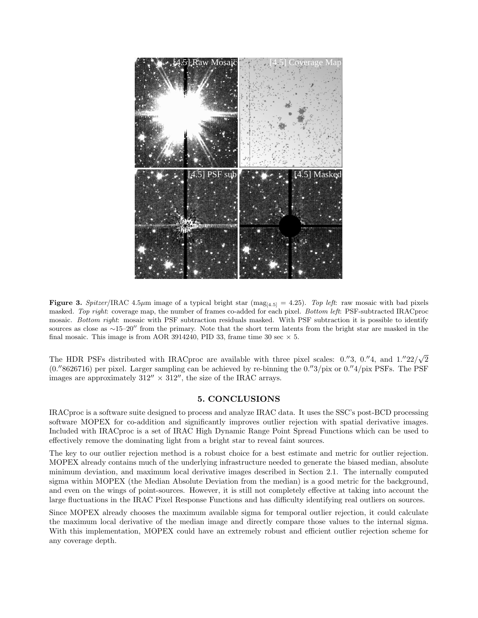

Figure 3. Spitzer/IRAC 4.5 $\mu$ m image of a typical bright star (mag<sub>[4.5]</sub> = 4.25). Top left: raw mosaic with bad pixels masked. Top right: coverage map, the number of frames co-added for each pixel. Bottom left: PSF-subtracted IRACproc mosaic. Bottom right: mosaic with PSF subtraction residuals masked. With PSF subtraction it is possible to identify sources as close as ∼15–20" from the primary. Note that the short term latents from the bright star are masked in the final mosaic. This image is from AOR 3914240, PID 33, frame time 30 sec  $\times$  5.

The HDR PSFs distributed with IRAC proc are available with three pixel scales: 0."3, 0."4, and 1." $22/\sqrt{2}$  $(0.^{''}8626716)$  per pixel. Larger sampling can be achieved by re-binning the  $0.^{''}3/\text{pix}$  or  $0.^{''}4/\text{pix}$  PSFs. The PSF images are approximately  $312'' \times 312''$ , the size of the IRAC arrays.

## 5. CONCLUSIONS

IRACproc is a software suite designed to process and analyze IRAC data. It uses the SSC's post-BCD processing software MOPEX for co-addition and significantly improves outlier rejection with spatial derivative images. Included with IRACproc is a set of IRAC High Dynamic Range Point Spread Functions which can be used to effectively remove the dominating light from a bright star to reveal faint sources.

The key to our outlier rejection method is a robust choice for a best estimate and metric for outlier rejection. MOPEX already contains much of the underlying infrastructure needed to generate the biased median, absolute minimum deviation, and maximum local derivative images described in Section 2.1. The internally computed sigma within MOPEX (the Median Absolute Deviation from the median) is a good metric for the background, and even on the wings of point-sources. However, it is still not completely effective at taking into account the large fluctuations in the IRAC Pixel Response Functions and has difficulty identifying real outliers on sources.

Since MOPEX already chooses the maximum available sigma for temporal outlier rejection, it could calculate the maximum local derivative of the median image and directly compare those values to the internal sigma. With this implementation, MOPEX could have an extremely robust and efficient outlier rejection scheme for any coverage depth.